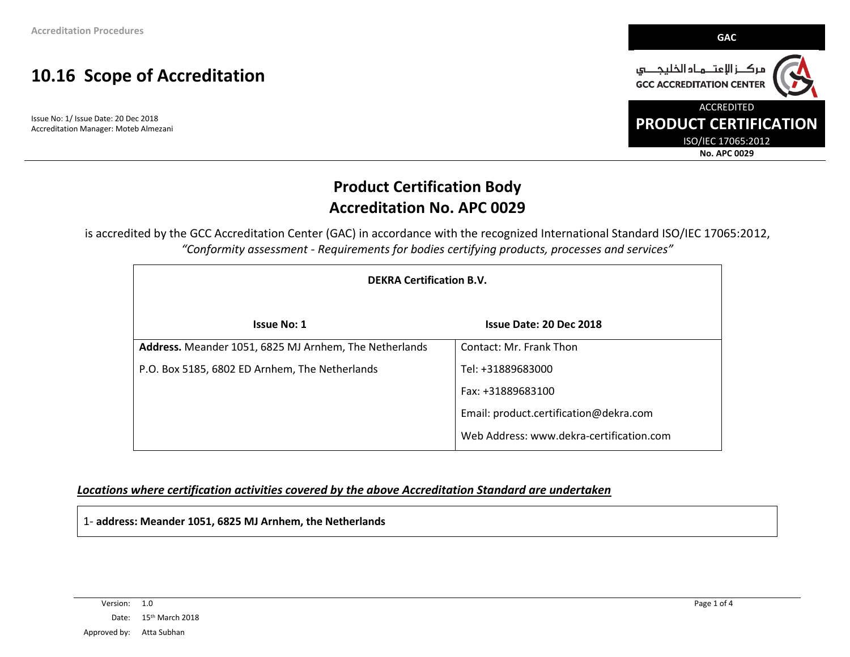Issue No: 1/ Issue Date: 20 Dec 2018 Accreditation Manager: Moteb Almezani



### **Product Certification Body Accreditation No. APC 0029**

is accredited by the GCC Accreditation Center (GAC) in accordance with the recognized International Standard ISO/IEC 17065:2012, *"Conformity assessment - Requirements for bodies certifying products, processes and services"*

| <b>DEKRA Certification B.V.</b>                        |                                          |  |  |  |  |
|--------------------------------------------------------|------------------------------------------|--|--|--|--|
| <b>Issue No: 1</b>                                     | Issue Date: 20 Dec 2018                  |  |  |  |  |
| Address. Meander 1051, 6825 MJ Arnhem, The Netherlands | Contact: Mr. Frank Thon                  |  |  |  |  |
| P.O. Box 5185, 6802 ED Arnhem, The Netherlands         | Tel: +31889683000                        |  |  |  |  |
|                                                        | Fax: +31889683100                        |  |  |  |  |
|                                                        | Email: product.certification@dekra.com   |  |  |  |  |
|                                                        | Web Address: www.dekra-certification.com |  |  |  |  |

*Locations where certification activities covered by the above Accreditation Standard are undertaken*

1- **address: Meander 1051, 6825 MJ Arnhem, the Netherlands**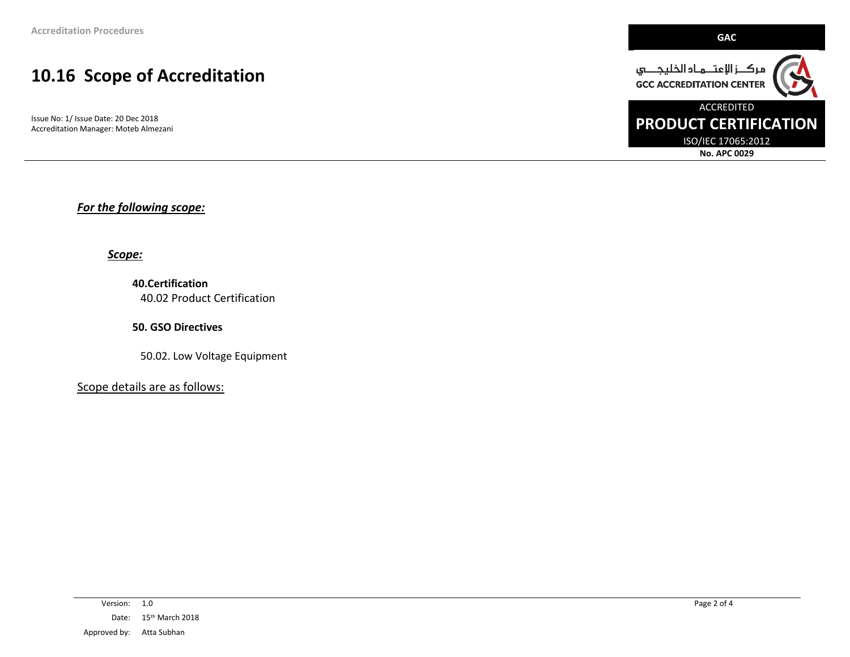Issue No: 1/ Issue Date: 20 Dec 2018 Accreditation Manager: Moteb Almezani

مركــز الإعتـــمـاد الخليجـــــي **GCC ACCREDITATION CENTER** ACCREDITED



### *For the following scope:*

#### *Scope:*

### **40.Certification**

40.02 Product Certification

#### **50. GSO Directives**

50.02. Low Voltage Equipment

### Scope details are as follows: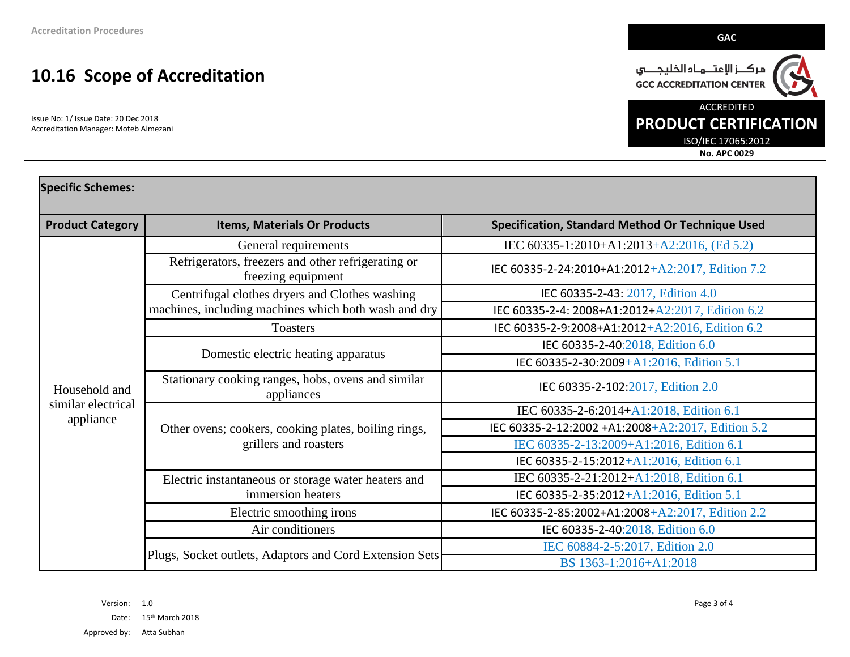Issue No: 1/ Issue Date: 20 Dec 2018 Accreditation Manager: Moteb Almezani

| <b>Specific Schemes:</b> |                                                                          |                                                   |  |  |  |  |  |
|--------------------------|--------------------------------------------------------------------------|---------------------------------------------------|--|--|--|--|--|
| <b>Product Category</b>  | <b>Items, Materials Or Products</b>                                      | Specification, Standard Method Or Technique Used  |  |  |  |  |  |
|                          | General requirements                                                     | IEC 60335-1:2010+A1:2013+A2:2016, (Ed 5.2)        |  |  |  |  |  |
|                          | Refrigerators, freezers and other refrigerating or<br>freezing equipment | IEC 60335-2-24:2010+A1:2012+A2:2017, Edition 7.2  |  |  |  |  |  |
|                          | Centrifugal clothes dryers and Clothes washing                           | IEC 60335-2-43: 2017, Edition 4.0                 |  |  |  |  |  |
|                          | machines, including machines which both wash and dry                     | IEC 60335-2-4: 2008+A1:2012+A2:2017, Edition 6.2  |  |  |  |  |  |
|                          | <b>Toasters</b>                                                          | IEC 60335-2-9:2008+A1:2012+A2:2016, Edition 6.2   |  |  |  |  |  |
|                          |                                                                          | IEC 60335-2-40:2018, Edition 6.0                  |  |  |  |  |  |
|                          | Domestic electric heating apparatus                                      | IEC 60335-2-30:2009+A1:2016, Edition 5.1          |  |  |  |  |  |
| Household and            | Stationary cooking ranges, hobs, ovens and similar<br>appliances         | IEC 60335-2-102:2017, Edition 2.0                 |  |  |  |  |  |
| similar electrical       |                                                                          | IEC 60335-2-6:2014+A1:2018, Edition 6.1           |  |  |  |  |  |
| appliance                | Other ovens; cookers, cooking plates, boiling rings,                     | IEC 60335-2-12:2002 +A1:2008+A2:2017, Edition 5.2 |  |  |  |  |  |
|                          | grillers and roasters                                                    | IEC 60335-2-13:2009+A1:2016, Edition 6.1          |  |  |  |  |  |
|                          |                                                                          | IEC 60335-2-15:2012+A1:2016, Edition 6.1          |  |  |  |  |  |
|                          | Electric instantaneous or storage water heaters and                      | IEC 60335-2-21:2012+A1:2018, Edition 6.1          |  |  |  |  |  |
|                          | immersion heaters                                                        | IEC 60335-2-35:2012+A1:2016, Edition 5.1          |  |  |  |  |  |
|                          | Electric smoothing irons                                                 | IEC 60335-2-85:2002+A1:2008+A2:2017, Edition 2.2  |  |  |  |  |  |
|                          | Air conditioners                                                         | IEC 60335-2-40:2018, Edition 6.0                  |  |  |  |  |  |
|                          | Plugs, Socket outlets, Adaptors and Cord Extension Sets                  | IEC 60884-2-5:2017, Edition 2.0                   |  |  |  |  |  |
|                          |                                                                          | BS 1363-1:2016+A1:2018                            |  |  |  |  |  |



ACCREDITED **PRODUCT CERTIFICATION** ISO/IEC 17065:2012 **No. APC 0029**

مركــز الإعتـــمـاد الخليجــــــي **GCC ACCREDITATION CENTER**